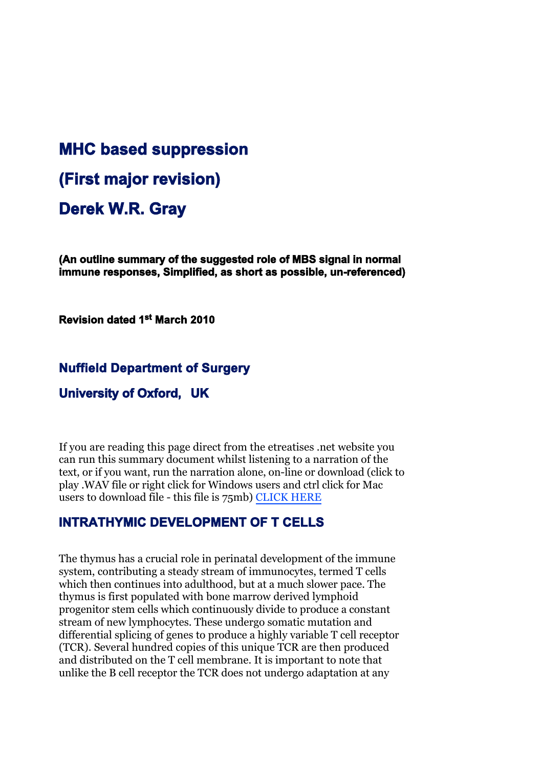# **MHC based suppression (First major revision) Derek W.R. Gray**

**(An outline summary of the suggested role of MBS signal in normal immune responses, Simplified, as short as possible, un-referenced)**

**Revision dated 1st March 2010**

### **Nuffield Department of Surgery**

### **University of Oxford, UK**

If you are reading this page direct from the etreatises .net website you can run this summary document whilst listening to a narration of the text, or if you want, run the narration alone, on-line or download (click to play .WAV file or right click for Windows users and ctrl click for Mac users to download file - this file is 75mb) [CLICK HERE](MBS_summary.wav)

## **INTRATHYMIC DEVELOPMENT OF T CELLS**

The thymus has a crucial role in perinatal development of the immune system, contributing a steady stream of immunocytes, termed T cells which then continues into adulthood, but at a much slower pace. The thymus is first populated with bone marrow derived lymphoid progenitor stem cells which continuously divide to produce a constant stream of new lymphocytes. These undergo somatic mutation and differential splicing of genes to produce a highly variable T cell receptor (TCR). Several hundred copies of this unique TCR are then produced and distributed on the T cell membrane. It is important to note that unlike the B cell receptor the TCR does not undergo adaptation at any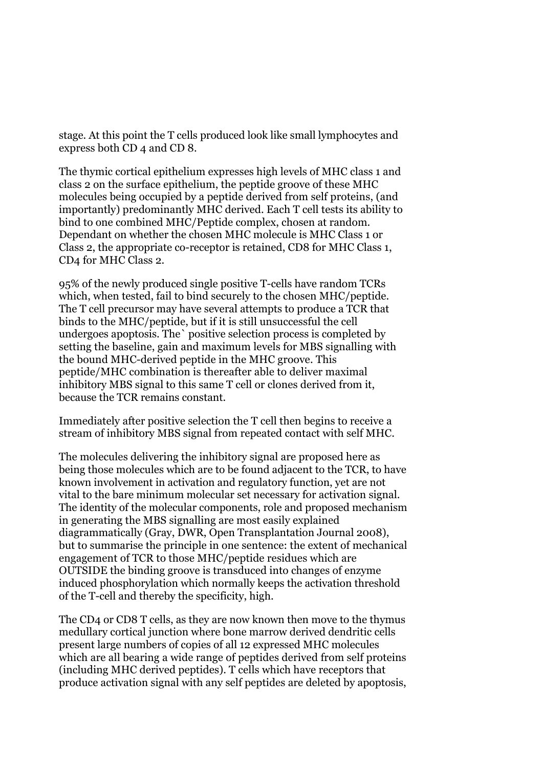stage. At this point the T cells produced look like small lymphocytes and express both CD 4 and CD 8.

The thymic cortical epithelium expresses high levels of MHC class 1 and class 2 on the surface epithelium, the peptide groove of these MHC molecules being occupied by a peptide derived from self proteins, (and importantly) predominantly MHC derived. Each T cell tests its ability to bind to one combined MHC/Peptide complex, chosen at random. Dependant on whether the chosen MHC molecule is MHC Class 1 or Class 2, the appropriate co-receptor is retained, CD8 for MHC Class 1, CD4 for MHC Class 2.

95% of the newly produced single positive T-cells have random TCRs which, when tested, fail to bind securely to the chosen MHC/peptide. The T cell precursor may have several attempts to produce a TCR that binds to the MHC/peptide, but if it is still unsuccessful the cell undergoes apoptosis. The` positive selection process is completed by setting the baseline, gain and maximum levels for MBS signalling with the bound MHC-derived peptide in the MHC groove. This peptide/MHC combination is thereafter able to deliver maximal inhibitory MBS signal to this same T cell or clones derived from it, because the TCR remains constant.

Immediately after positive selection the T cell then begins to receive a stream of inhibitory MBS signal from repeated contact with self MHC.

The molecules delivering the inhibitory signal are proposed here as being those molecules which are to be found adjacent to the TCR, to have known involvement in activation and regulatory function, yet are not vital to the bare minimum molecular set necessary for activation signal. The identity of the molecular components, role and proposed mechanism in generating the MBS signalling are most easily explained diagrammatically (Gray, DWR, Open Transplantation Journal 2008), but to summarise the principle in one sentence: the extent of mechanical engagement of TCR to those MHC/peptide residues which are OUTSIDE the binding groove is transduced into changes of enzyme induced phosphorylation which normally keeps the activation threshold of the T-cell and thereby the specificity, high.

The CD4 or CD8 T cells, as they are now known then move to the thymus medullary cortical junction where bone marrow derived dendritic cells present large numbers of copies of all 12 expressed MHC molecules which are all bearing a wide range of peptides derived from self proteins (including MHC derived peptides). T cells which have receptors that produce activation signal with any self peptides are deleted by apoptosis,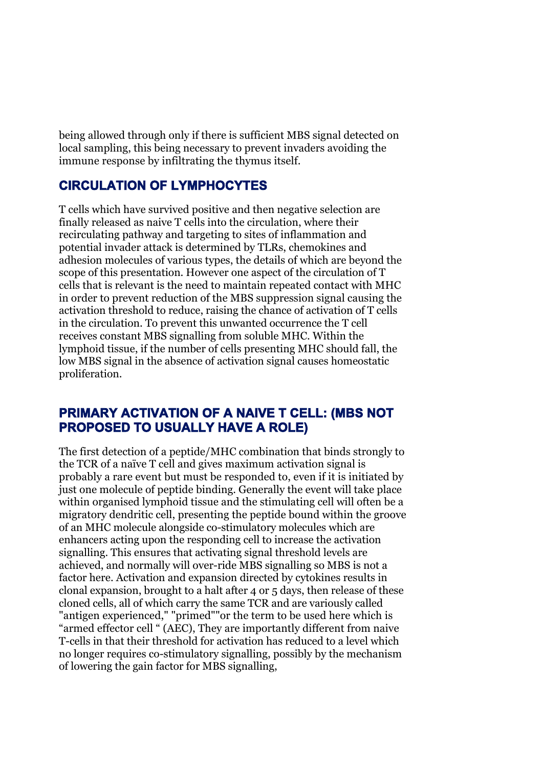being allowed through only if there is sufficient MBS signal detected on local sampling, this being necessary to prevent invaders avoiding the immune response by infiltrating the thymus itself.

# **CIRCULATION OF LYMPHOCYTES**

T cells which have survived positive and then negative selection are finally released as naive T cells into the circulation, where their recirculating pathway and targeting to sites of inflammation and potential invader attack is determined by TLRs, chemokines and adhesion molecules of various types, the details of which are beyond the scope of this presentation. However one aspect of the circulation of T cells that is relevant is the need to maintain repeated contact with MHC in order to prevent reduction of the MBS suppression signal causing the activation threshold to reduce, raising the chance of activation of T cells in the circulation. To prevent this unwanted occurrence the T cell receives constant MBS signalling from soluble MHC. Within the lymphoid tissue, if the number of cells presenting MHC should fall, the low MBS signal in the absence of activation signal causes homeostatic proliferation.

# **PRIMARY ACTIVATION OF A NAIVE T CELL: (MBS NOT PROPOSED TO USUALLY HAVE A ROLE)**

The first detection of a peptide/MHC combination that binds strongly to the TCR of a naïve T cell and gives maximum activation signal is probably a rare event but must be responded to, even if it is initiated by just one molecule of peptide binding. Generally the event will take place within organised lymphoid tissue and the stimulating cell will often be a migratory dendritic cell, presenting the peptide bound within the groove of an MHC molecule alongside co-stimulatory molecules which are enhancers acting upon the responding cell to increase the activation signalling. This ensures that activating signal threshold levels are achieved, and normally will over-ride MBS signalling so MBS is not a factor here. Activation and expansion directed by cytokines results in clonal expansion, brought to a halt after 4 or 5 days, then release of these cloned cells, all of which carry the same TCR and are variously called "antigen experienced," "primed""or the term to be used here which is "armed effector cell " (AEC), They are importantly different from naive T-cells in that their threshold for activation has reduced to a level which no longer requires co-stimulatory signalling, possibly by the mechanism of lowering the gain factor for MBS signalling,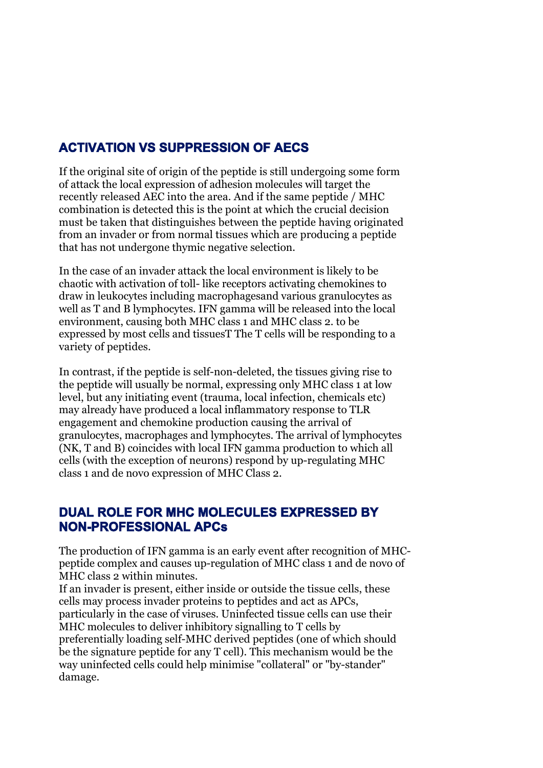# **ACTIVATION VS SUPPRESSION OF AECS**

If the original site of origin of the peptide is still undergoing some form of attack the local expression of adhesion molecules will target the recently released AEC into the area. And if the same peptide / MHC combination is detected this is the point at which the crucial decision must be taken that distinguishes between the peptide having originated from an invader or from normal tissues which are producing a peptide that has not undergone thymic negative selection.

In the case of an invader attack the local environment is likely to be chaotic with activation of toll- like receptors activating chemokines to draw in leukocytes including macrophagesand various granulocytes as well as T and B lymphocytes. IFN gamma will be released into the local environment, causing both MHC class 1 and MHC class 2. to be expressed by most cells and tissuesT The T cells will be responding to a variety of peptides.

In contrast, if the peptide is self-non-deleted, the tissues giving rise to the peptide will usually be normal, expressing only MHC class 1 at low level, but any initiating event (trauma, local infection, chemicals etc) may already have produced a local inflammatory response to TLR engagement and chemokine production causing the arrival of granulocytes, macrophages and lymphocytes. The arrival of lymphocytes (NK, T and B) coincides with local IFN gamma production to which all cells (with the exception of neurons) respond by up-regulating MHC class 1 and de novo expression of MHC Class 2.

# **DUAL ROLE FOR MHC MOLECULES EXPRESSED BY NON-PROFESSIONAL APCs**

The production of IFN gamma is an early event after recognition of MHCpeptide complex and causes up-regulation of MHC class 1 and de novo of MHC class 2 within minutes.

If an invader is present, either inside or outside the tissue cells, these cells may process invader proteins to peptides and act as APCs, particularly in the case of viruses. Uninfected tissue cells can use their MHC molecules to deliver inhibitory signalling to T cells by preferentially loading self-MHC derived peptides (one of which should be the signature peptide for any T cell). This mechanism would be the way uninfected cells could help minimise "collateral" or "by-stander" damage.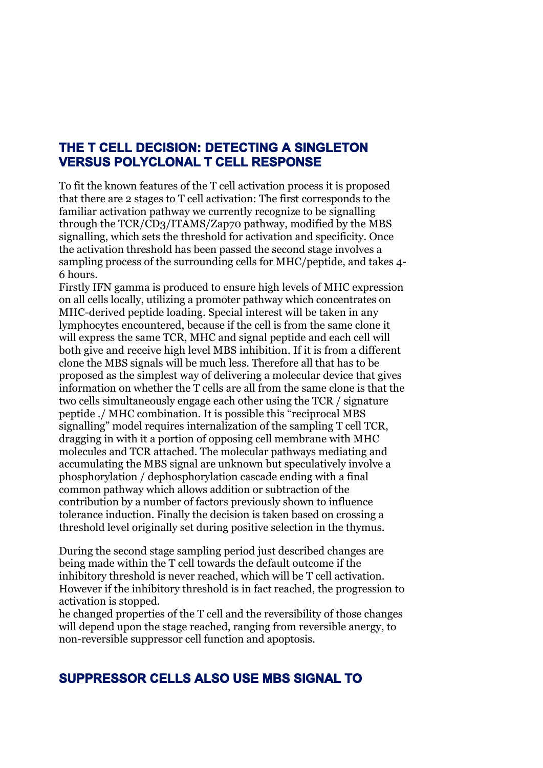# **THE T CELL DECISION: DETECTING A SINGLETON VERSUS POLYCLONAL T CELL RESPONSE**

To fit the known features of the T cell activation process it is proposed that there are 2 stages to T cell activation: The first corresponds to the familiar activation pathway we currently recognize to be signalling through the TCR/CD3/ITAMS/Zap70 pathway, modified by the MBS signalling, which sets the threshold for activation and specificity. Once the activation threshold has been passed the second stage involves a sampling process of the surrounding cells for MHC/peptide, and takes 4- 6 hours.

Firstly IFN gamma is produced to ensure high levels of MHC expression on all cells locally, utilizing a promoter pathway which concentrates on MHC-derived peptide loading. Special interest will be taken in any lymphocytes encountered, because if the cell is from the same clone it will express the same TCR, MHC and signal peptide and each cell will both give and receive high level MBS inhibition. If it is from a different clone the MBS signals will be much less. Therefore all that has to be proposed as the simplest way of delivering a molecular device that gives information on whether the T cells are all from the same clone is that the two cells simultaneously engage each other using the TCR / signature peptide ./ MHC combination. It is possible this "reciprocal MBS signalling" model requires internalization of the sampling T cell TCR, dragging in with it a portion of opposing cell membrane with MHC molecules and TCR attached. The molecular pathways mediating and accumulating the MBS signal are unknown but speculatively involve a phosphorylation / dephosphorylation cascade ending with a final common pathway which allows addition or subtraction of the contribution by a number of factors previously shown to influence tolerance induction. Finally the decision is taken based on crossing a threshold level originally set during positive selection in the thymus.

During the second stage sampling period just described changes are being made within the T cell towards the default outcome if the inhibitory threshold is never reached, which will be T cell activation. However if the inhibitory threshold is in fact reached, the progression to activation is stopped.

he changed properties of the T cell and the reversibility of those changes will depend upon the stage reached, ranging from reversible anergy, to non-reversible suppressor cell function and apoptosis.

## **SUPPRESSOR CELLS ALSO USE MBS SIGNAL TO**